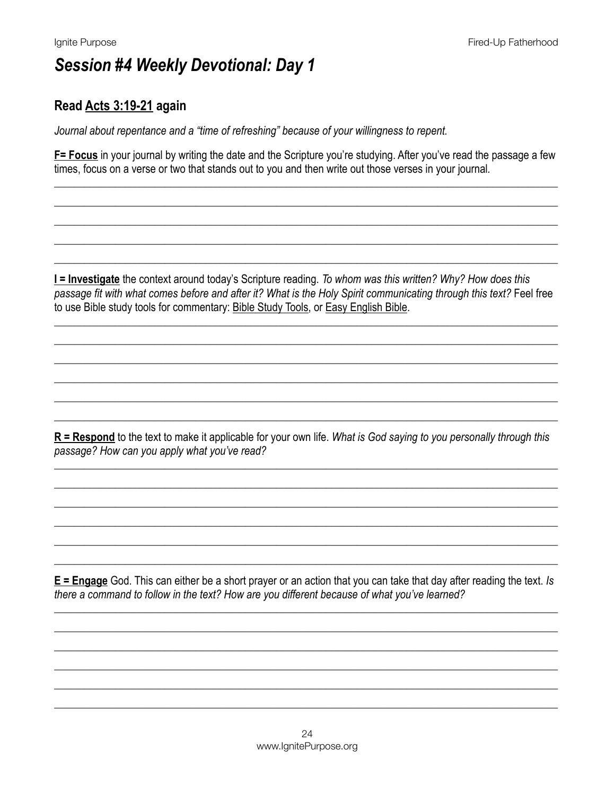### Read Acts 3:19-21 again

Journal about repentance and a "time of refreshing" because of your willingness to repent.

F= Focus in your journal by writing the date and the Scripture you're studying. After you've read the passage a few times, focus on a verse or two that stands out to you and then write out those verses in your journal.

I = Investigate the context around today's Scripture reading. To whom was this written? Why? How does this passage fit with what comes before and after it? What is the Holy Spirit communicating through this text? Feel free to use Bible study tools for commentary: Bible Study Tools, or Easy English Bible.

 $R =$ Respond to the text to make it applicable for your own life. What is God saying to you personally through this passage? How can you apply what you've read?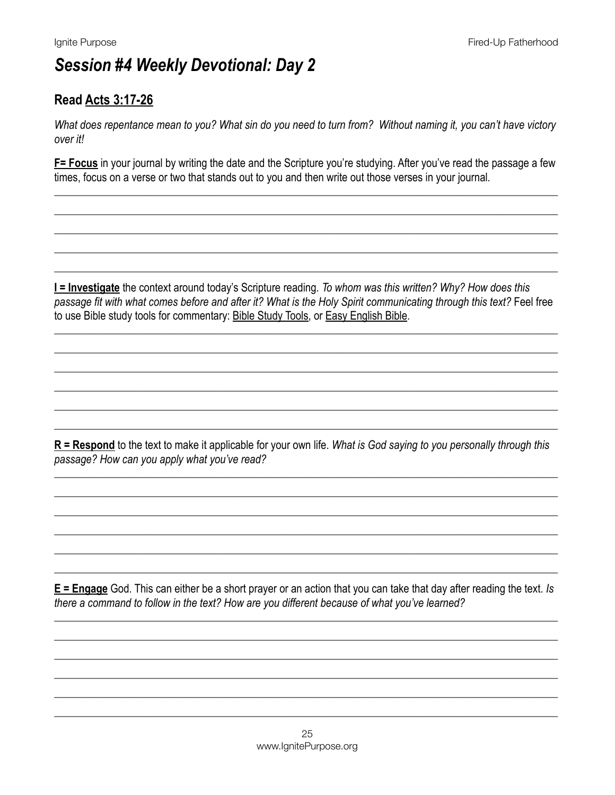### **Read Acts 3:17-26**

What does repentance mean to you? What sin do you need to turn from? Without naming it, you can't have victory over it!

F= Focus in your journal by writing the date and the Scripture you're studying. After you've read the passage a few times, focus on a verse or two that stands out to you and then write out those verses in your journal.

**I = Investigate** the context around today's Scripture reading. To whom was this written? Why? How does this passage fit with what comes before and after it? What is the Holy Spirit communicating through this text? Feel free to use Bible study tools for commentary: Bible Study Tools, or Easy English Bible.

 $R$  = Respond to the text to make it applicable for your own life. What is God saying to you personally through this passage? How can you apply what you've read?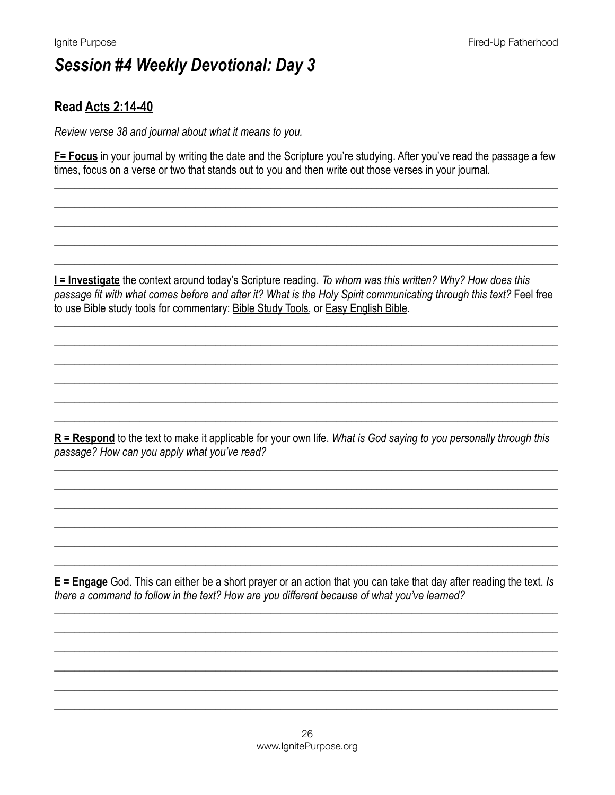### **Read Acts 2:14-40**

Review verse 38 and journal about what it means to you.

F= Focus in your journal by writing the date and the Scripture you're studying. After you've read the passage a few times, focus on a verse or two that stands out to you and then write out those verses in your journal.

I = Investigate the context around today's Scripture reading. To whom was this written? Why? How does this passage fit with what comes before and after it? What is the Holy Spirit communicating through this text? Feel free to use Bible study tools for commentary: Bible Study Tools, or Easy English Bible.

 $R$  = Respond to the text to make it applicable for your own life. What is God saying to you personally through this passage? How can you apply what you've read?